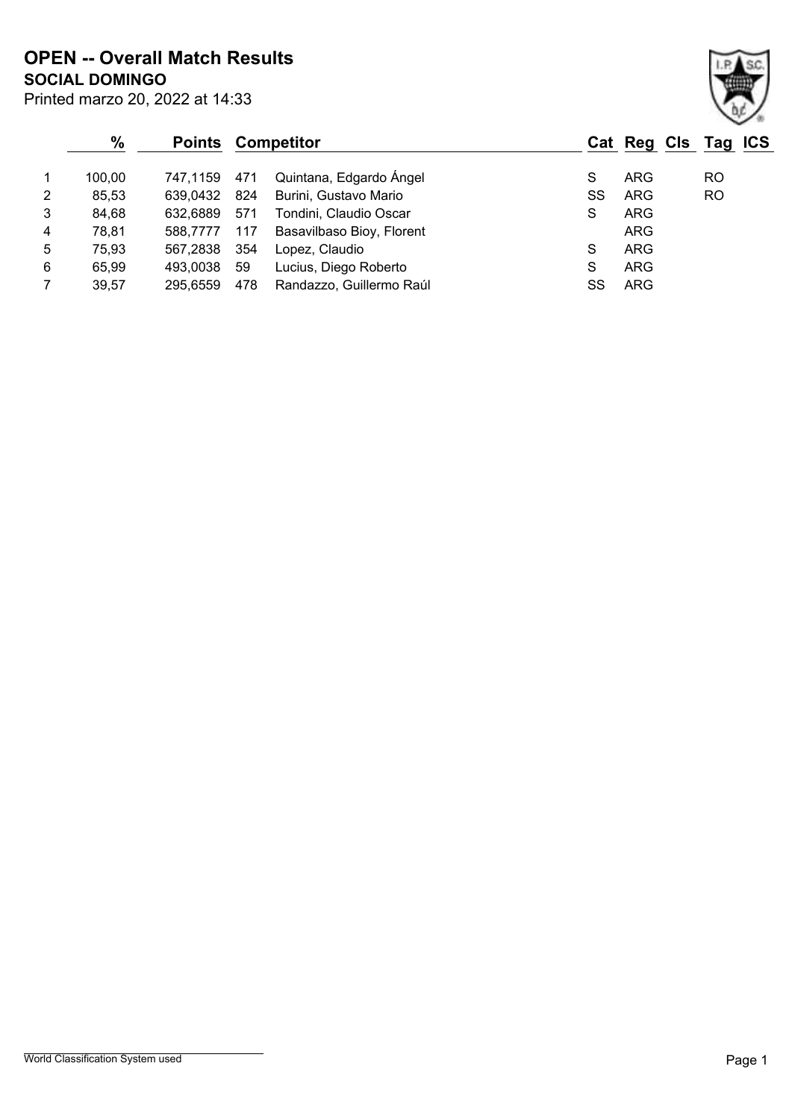**SOCIAL DOMINGO OPEN -- Overall Match Results**

|                | $\%$   | <b>Points</b> |     | <b>Competitor</b>         |    | Cat Reg Cls Tag ICS |           |  |
|----------------|--------|---------------|-----|---------------------------|----|---------------------|-----------|--|
| 1              | 100,00 | 747,1159      | 471 | Quintana, Edgardo Ángel   | S  | <b>ARG</b>          | <b>RO</b> |  |
| $\overline{2}$ | 85,53  | 639,0432      | 824 | Burini, Gustavo Mario     | SS | <b>ARG</b>          | <b>RO</b> |  |
| 3              | 84,68  | 632.6889      | 571 | Tondini, Claudio Oscar    | S  | <b>ARG</b>          |           |  |
| 4              | 78,81  | 588.7777      | 117 | Basavilbaso Bioy, Florent |    | <b>ARG</b>          |           |  |
| 5              | 75,93  | 567.2838      | 354 | Lopez, Claudio            | S  | <b>ARG</b>          |           |  |
| 6              | 65,99  | 493.0038      | 59  | Lucius, Diego Roberto     | S  | <b>ARG</b>          |           |  |
| $\overline{7}$ | 39,57  | 295,6559      | 478 | Randazzo, Guillermo Raúl  | SS | <b>ARG</b>          |           |  |

Printed marzo 20, 2022 at 14:33

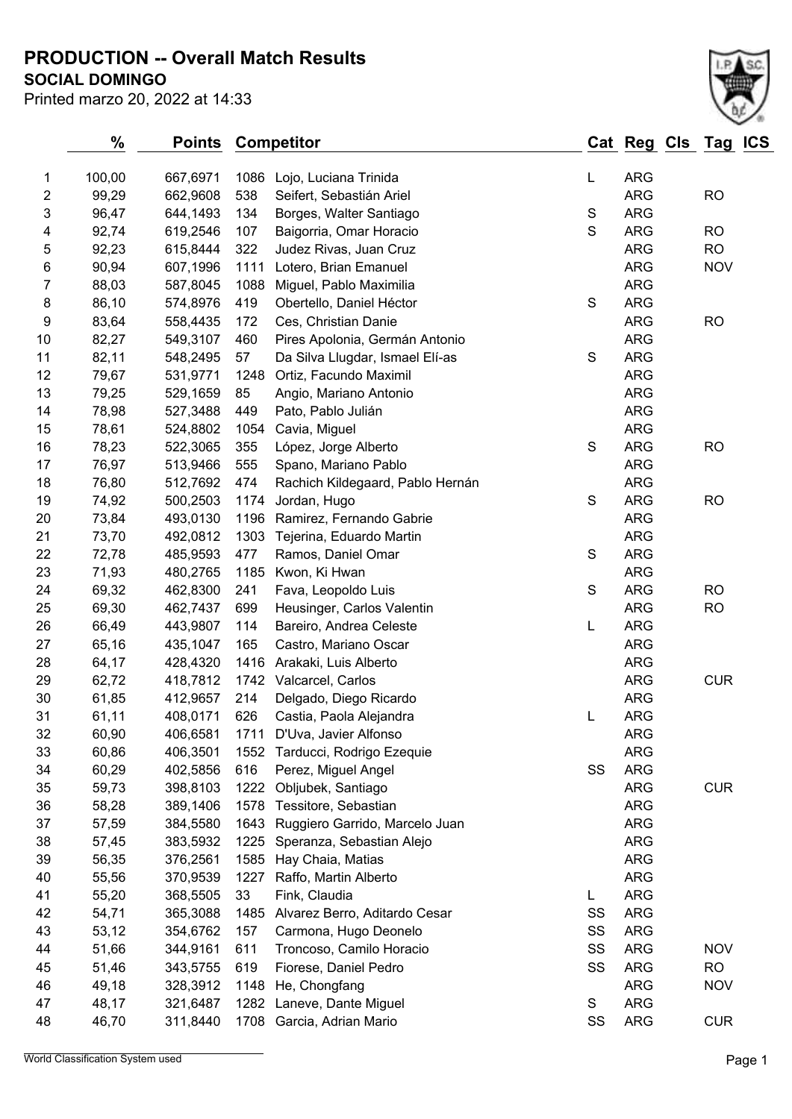**SOCIAL DOMINGO PRODUCTION -- Overall Match Results**

| <b>SOCIAL DOMINGO</b>           |  |
|---------------------------------|--|
| Printed marzo 20, 2022 at 14:33 |  |

|                | $\frac{0}{0}$ | <b>Points</b> |      | <b>Competitor</b>                |               | Cat Reg Cls Tag ICS |            |  |
|----------------|---------------|---------------|------|----------------------------------|---------------|---------------------|------------|--|
| 1              | 100,00        | 667,6971      | 1086 | Lojo, Luciana Trinida            | L             | <b>ARG</b>          |            |  |
| $\overline{2}$ | 99,29         | 662,9608      | 538  | Seifert, Sebastián Ariel         |               | <b>ARG</b>          | <b>RO</b>  |  |
| 3              | 96,47         | 644,1493      | 134  | Borges, Walter Santiago          | S             | <b>ARG</b>          |            |  |
| 4              | 92,74         | 619,2546      | 107  | Baigorria, Omar Horacio          | $\mathbf S$   | <b>ARG</b>          | <b>RO</b>  |  |
| 5              | 92,23         | 615,8444      | 322  | Judez Rivas, Juan Cruz           |               | <b>ARG</b>          | <b>RO</b>  |  |
| 6              | 90,94         | 607,1996      | 1111 | Lotero, Brian Emanuel            |               | <b>ARG</b>          | <b>NOV</b> |  |
| 7              | 88,03         | 587,8045      | 1088 | Miguel, Pablo Maximilia          |               | <b>ARG</b>          |            |  |
| 8              | 86,10         | 574,8976      | 419  | Obertello, Daniel Héctor         | $\mathbf S$   | <b>ARG</b>          |            |  |
| 9              | 83,64         | 558,4435      | 172  | Ces, Christian Danie             |               | <b>ARG</b>          | <b>RO</b>  |  |
| 10             | 82,27         | 549,3107      | 460  | Pires Apolonia, Germán Antonio   |               | <b>ARG</b>          |            |  |
| 11             | 82,11         | 548,2495      | 57   | Da Silva Llugdar, Ismael Elí-as  | ${\mathsf S}$ | <b>ARG</b>          |            |  |
| 12             | 79,67         | 531,9771      | 1248 | Ortiz, Facundo Maximil           |               | <b>ARG</b>          |            |  |
| 13             | 79,25         | 529,1659      | 85   | Angio, Mariano Antonio           |               | <b>ARG</b>          |            |  |
| 14             | 78,98         | 527,3488      | 449  | Pato, Pablo Julián               |               | <b>ARG</b>          |            |  |
| 15             | 78,61         | 524,8802      | 1054 | Cavia, Miguel                    |               | <b>ARG</b>          |            |  |
| 16             | 78,23         | 522,3065      | 355  | López, Jorge Alberto             | ${\mathsf S}$ | <b>ARG</b>          | <b>RO</b>  |  |
| 17             | 76,97         | 513,9466      | 555  | Spano, Mariano Pablo             |               | <b>ARG</b>          |            |  |
| 18             | 76,80         | 512,7692      | 474  | Rachich Kildegaard, Pablo Hernán |               | <b>ARG</b>          |            |  |
| 19             | 74,92         | 500,2503      | 1174 | Jordan, Hugo                     | S             | <b>ARG</b>          | <b>RO</b>  |  |
| 20             | 73,84         | 493,0130      | 1196 | Ramirez, Fernando Gabrie         |               | <b>ARG</b>          |            |  |
| 21             | 73,70         | 492,0812      | 1303 | Tejerina, Eduardo Martin         |               | <b>ARG</b>          |            |  |
| 22             | 72,78         | 485,9593      | 477  | Ramos, Daniel Omar               | ${\mathsf S}$ | <b>ARG</b>          |            |  |
| 23             | 71,93         | 480,2765      | 1185 | Kwon, Ki Hwan                    |               | <b>ARG</b>          |            |  |
| 24             | 69,32         | 462,8300      | 241  | Fava, Leopoldo Luis              | $\mathbf S$   | <b>ARG</b>          | <b>RO</b>  |  |
| 25             | 69,30         | 462,7437      | 699  | Heusinger, Carlos Valentin       |               | <b>ARG</b>          | <b>RO</b>  |  |
| 26             | 66,49         | 443,9807      | 114  | Bareiro, Andrea Celeste          | L             | <b>ARG</b>          |            |  |
| 27             | 65,16         | 435,1047      | 165  | Castro, Mariano Oscar            |               | <b>ARG</b>          |            |  |
| 28             | 64,17         | 428,4320      | 1416 | Arakaki, Luis Alberto            |               | <b>ARG</b>          |            |  |
| 29             | 62,72         | 418,7812      | 1742 | Valcarcel, Carlos                |               | <b>ARG</b>          | <b>CUR</b> |  |
| 30             | 61,85         | 412,9657      | 214  | Delgado, Diego Ricardo           |               | <b>ARG</b>          |            |  |
| 31             | 61,11         | 408,0171      | 626  | Castia, Paola Alejandra          | L             | <b>ARG</b>          |            |  |
| 32             | 60,90         | 406,6581      |      | 1711 D'Uva, Javier Alfonso       |               | <b>ARG</b>          |            |  |
| 33             | 60,86         | 406,3501      | 1552 | Tarducci, Rodrigo Ezequie        |               | <b>ARG</b>          |            |  |
| 34             | 60,29         | 402,5856      | 616  | Perez, Miguel Angel              | SS            | <b>ARG</b>          |            |  |
| 35             | 59,73         | 398,8103      | 1222 | Obljubek, Santiago               |               | <b>ARG</b>          | <b>CUR</b> |  |
| 36             | 58,28         | 389,1406      | 1578 | Tessitore, Sebastian             |               | <b>ARG</b>          |            |  |
| 37             | 57,59         | 384,5580      | 1643 | Ruggiero Garrido, Marcelo Juan   |               | <b>ARG</b>          |            |  |
| 38             | 57,45         | 383,5932      | 1225 | Speranza, Sebastian Alejo        |               | <b>ARG</b>          |            |  |
| 39             | 56,35         | 376,2561      | 1585 | Hay Chaia, Matias                |               | <b>ARG</b>          |            |  |
| 40             | 55,56         | 370,9539      | 1227 | Raffo, Martin Alberto            |               | <b>ARG</b>          |            |  |
| 41             | 55,20         | 368,5505      | 33   | Fink, Claudia                    | L             | <b>ARG</b>          |            |  |
| 42             | 54,71         | 365,3088      | 1485 | Alvarez Berro, Aditardo Cesar    | SS            | <b>ARG</b>          |            |  |
| 43             | 53,12         | 354,6762      | 157  | Carmona, Hugo Deonelo            | SS            | <b>ARG</b>          |            |  |
| 44             | 51,66         | 344,9161      | 611  | Troncoso, Camilo Horacio         | SS            | <b>ARG</b>          | <b>NOV</b> |  |
| 45             | 51,46         | 343,5755      | 619  | Fiorese, Daniel Pedro            | SS            | <b>ARG</b>          | RO.        |  |
| 46             | 49,18         | 328,3912      | 1148 | He, Chongfang                    |               | <b>ARG</b>          | <b>NOV</b> |  |
| 47             | 48,17         | 321,6487      | 1282 | Laneve, Dante Miguel             | S             | <b>ARG</b>          |            |  |
| 48             | 46,70         | 311,8440      | 1708 | Garcia, Adrian Mario             | SS            | <b>ARG</b>          | <b>CUR</b> |  |
|                |               |               |      |                                  |               |                     |            |  |

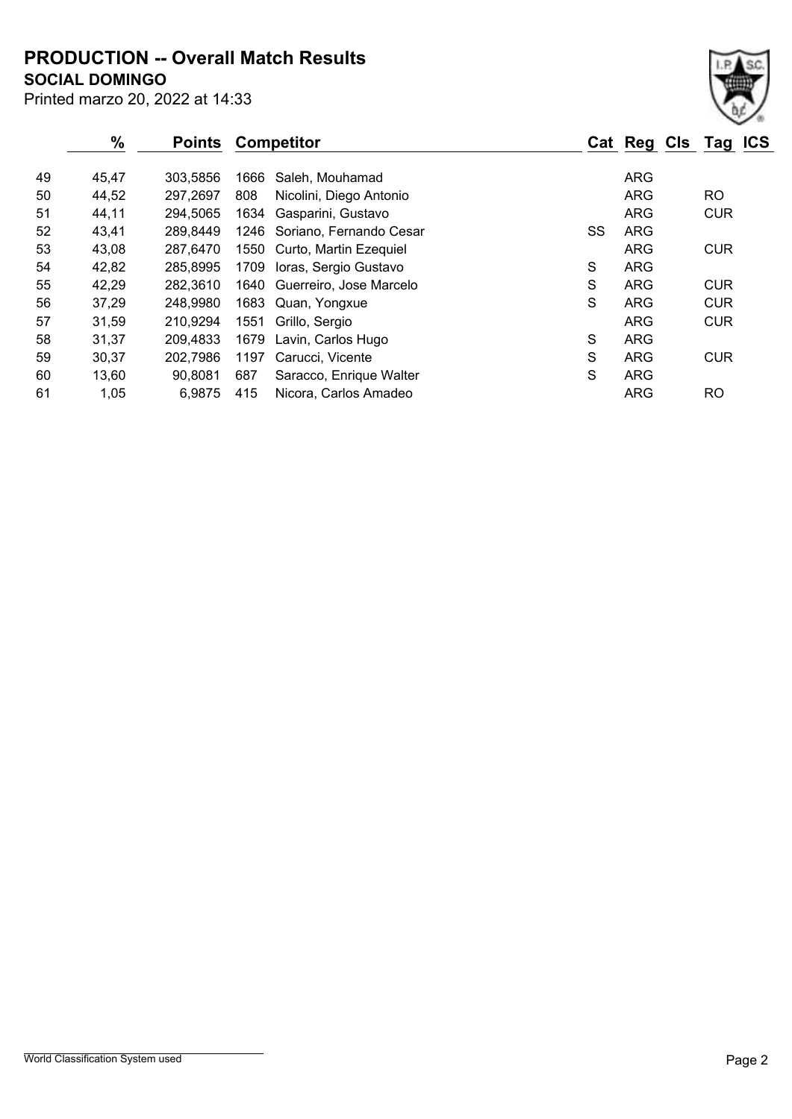Printed marzo 20, 2022 at 14:33 **SOCIAL DOMINGO PRODUCTION -- Overall Match Results**

|    | %     | <b>Points</b> |      | <b>Competitor</b>            |    | Cat Reg Cls Tag ICS |            |  |
|----|-------|---------------|------|------------------------------|----|---------------------|------------|--|
| 49 | 45,47 | 303,5856      | 1666 | Saleh, Mouhamad              |    | <b>ARG</b>          |            |  |
| 50 | 44,52 | 297,2697      | 808  | Nicolini, Diego Antonio      |    | <b>ARG</b>          | <b>RO</b>  |  |
| 51 | 44,11 | 294,5065      | 1634 | Gasparini, Gustavo           |    | <b>ARG</b>          | <b>CUR</b> |  |
| 52 | 43,41 | 289,8449      |      | 1246 Soriano, Fernando Cesar | SS | <b>ARG</b>          |            |  |
| 53 | 43,08 | 287,6470      |      | 1550 Curto, Martin Ezequiel  |    | <b>ARG</b>          | <b>CUR</b> |  |
| 54 | 42,82 | 285,8995      |      | 1709 Ioras, Sergio Gustavo   | S  | <b>ARG</b>          |            |  |
| 55 | 42,29 | 282,3610      | 1640 | Guerreiro, Jose Marcelo      | S  | <b>ARG</b>          | <b>CUR</b> |  |
| 56 | 37,29 | 248,9980      | 1683 | Quan, Yongxue                | S  | <b>ARG</b>          | <b>CUR</b> |  |
| 57 | 31,59 | 210,9294      | 1551 | Grillo, Sergio               |    | <b>ARG</b>          | <b>CUR</b> |  |
| 58 | 31,37 | 209,4833      | 1679 | Lavin, Carlos Hugo           | S  | <b>ARG</b>          |            |  |
| 59 | 30,37 | 202,7986      | 1197 | Carucci, Vicente             | S  | <b>ARG</b>          | <b>CUR</b> |  |
| 60 | 13,60 | 90,8081       | 687  | Saracco, Enrique Walter      | S  | <b>ARG</b>          |            |  |
| 61 | 1,05  | 6,9875        | 415  | Nicora, Carlos Amadeo        |    | <b>ARG</b>          | <b>RO</b>  |  |
|    |       |               |      |                              |    |                     |            |  |

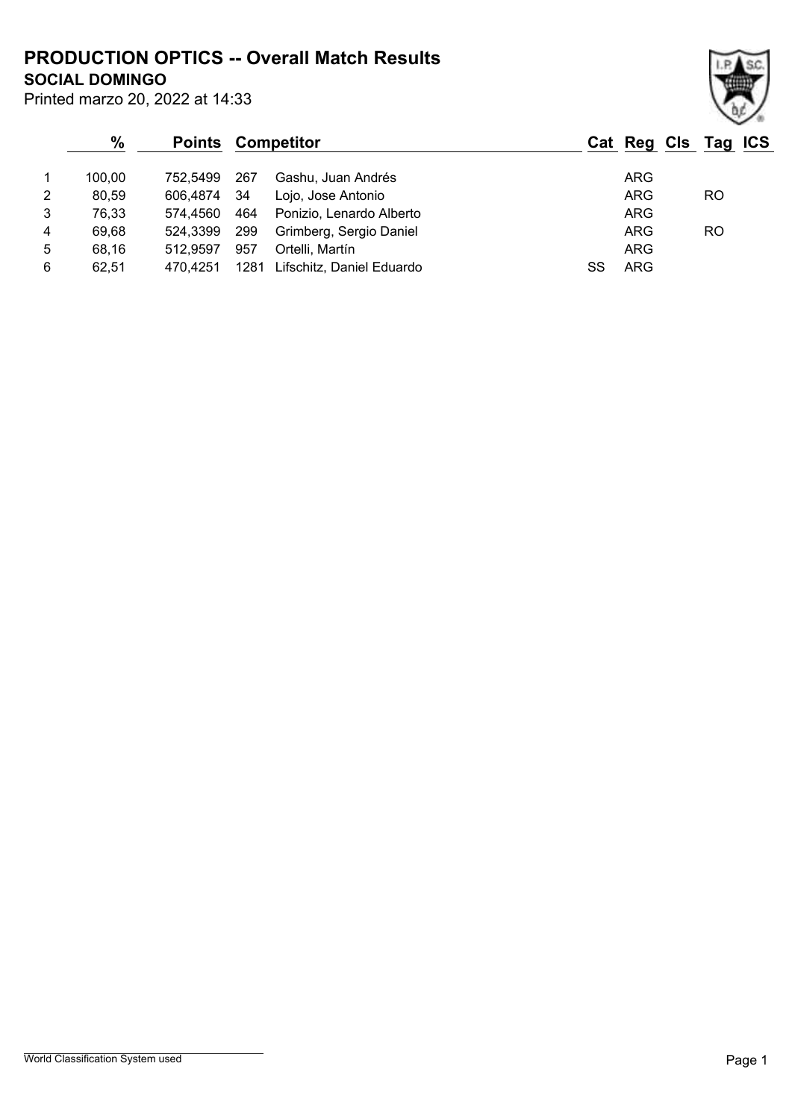**SOCIAL DOMINGO PRODUCTION OPTICS -- Overall Match Results**

|   | $\%$   | <b>Points</b> | <b>Competitor</b> |                           | Cat Reg Cls Tag ICS |            |  |     |  |
|---|--------|---------------|-------------------|---------------------------|---------------------|------------|--|-----|--|
|   | 100.00 | 752.5499      | 267               | Gashu, Juan Andrés        |                     | <b>ARG</b> |  |     |  |
| 2 | 80,59  | 606.4874      | - 34              | Lojo, Jose Antonio        |                     | <b>ARG</b> |  | RO. |  |
| 3 | 76,33  | 574.4560      | 464               | Ponizio, Lenardo Alberto  |                     | <b>ARG</b> |  |     |  |
| 4 | 69,68  | 524.3399      | 299               | Grimberg, Sergio Daniel   |                     | <b>ARG</b> |  | RO  |  |
| 5 | 68.16  | 512.9597      | 957               | Ortelli, Martín           |                     | <b>ARG</b> |  |     |  |
| 6 | 62.51  | 470.4251      | 1281              | Lifschitz, Daniel Eduardo |                     | ARG        |  |     |  |